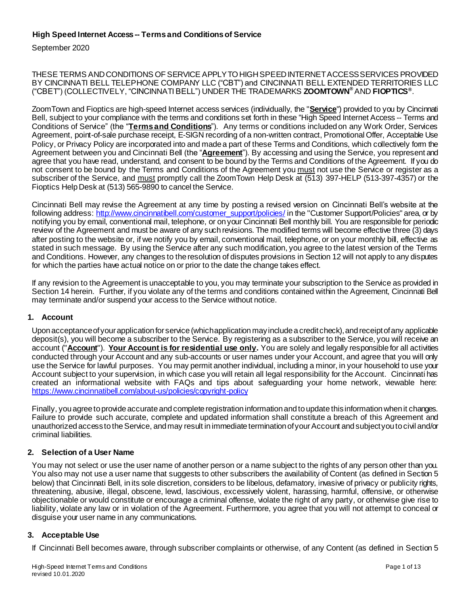# **High Speed Internet Access -- Terms and Conditionsof Service**

September 2020

THESE TERMS ANDCONDITIONS OFSERVICE APPLYTOHIGHSPEED INTERNET ACCESS SERVICES PROVIDED BY CINCINNATI BELL TELEPHONE COMPANY LLC ("CBT") and CINCINNATI BELL EXTENDED TERRITORIES LLC ("CBET") (COLLECTIVELY, "CINCINNATI BELL") UNDER THE TRADEMARKS **ZOOMTOWN®** AND **FIOPTICS®** .

ZoomTown and Fioptics are high-speed Internet access services (individually, the "**Service**") provided to you by Cincinnati Bell, subject to your compliance with the terms and conditions set forth in these "High Speed Internet Access -- Terms and Conditions of Service" (the "**Terms and Conditions**"). Any terms or conditions included on any Work Order, Services Agreement, point-of-sale purchase receipt, E-SIGN recording of a non-written contract, Promotional Offer, Acceptable Use Policy, or Privacy Policy are incorporated into and made a part of these Terms and Conditions, which collectively form the Agreement between you and Cincinnati Bell (the "**Agreement**"). By accessing and using the Service, you represent and agree that you have read, understand, and consent to be bound by the Terms and Conditions of the Agreement. If you do not consent to be bound by the Terms and Conditions of the Agreement you must not use the Service or register as a subscriber of the Service, and must promptly call the ZoomTown Help Desk at (513) 397-HELP (513-397-4357) or the Fioptics Help Desk at (513) 565-9890 to cancel the Service.

Cincinnati Bell may revise the Agreement at any time by posting a revised version on Cincinnati Bell's website at the following address[: http://www.cincinnatibell.com/customer\\_support/policies/](http://www.cincinnatibell.com/customer_support/policies/) in the "Customer Support/Policies" area, or by notifying you by email, conventional mail, telephone, or on your Cincinnati Bell monthly bill. You are responsible for periodic review of the Agreement and must be aware of any such revisions. The modified terms will become effective three (3) days after posting to the website or, if we notify you by email, conventional mail, telephone, or on your monthly bill, effective as stated in such message. By using the Service after any such modification, you agree to the latest version of the Terms and Conditions. However, any changes to the resolution of disputes provisions in Section 12 will not apply to any disputes for which the parties have actual notice on or prior to the date the change takes effect.

If any revision to the Agreement is unacceptable to you, you may terminate your subscription to the Service as provided in Sectio[n 14](#page-11-0) herein. Further, if you violate any of the terms and conditions contained within the Agreement, Cincinnati Bell may terminate and/or suspend your access to the Service without notice.

### **1. Account**

Upon acceptance of your application for service (which application may include a credit check), and receipt of any applicable deposit(s), you will become a subscriber to the Service. By registering as a subscriber to the Service, you will receive an account ("**Account**"). **Your Account is for residential use only.** You are solely and legally responsiblefor all activities conducted through your Account and any sub-accounts or user names under your Account, and agree that you will only use the Service for lawful purposes. You may permit another individual, including a minor, in your household to use your Account subject to your supervision, in which case you will retain all legal responsibility for the Account. Cincinnati has created an informational website with FAQs and tips about safeguarding your home network, viewable here: <https://www.cincinnatibell.com/about-us/policies/copyright-policy>

Finally, you agree to provide accurate and complete registration information and to update this information when it changes. Failure to provide such accurate, complete and updated information shall constitute a breach of this Agreement and unauthorized access to the Service, and may result in immediate termination of your Account and subject you to civil and/or criminal liabilities.

## **2. Selection of a User Name**

You may not select or use the user name of another person or a name subject to the rights of any person other than you. You also may not use a user name that suggests to other subscribers the availability of Content (as defined in Section 5 below) that Cincinnati Bell, in its sole discretion, considers to be libelous, defamatory, invasive of privacy or publicity rights, threatening, abusive, illegal, obscene, lewd, lascivious, excessively violent, harassing, harmful, offensive, or otherwise objectionable or would constitute or encourage a criminal offense, violate the right of any party, or otherwise give rise to liability, violate any law or in violation of the Agreement. Furthermore, you agree that you will not attempt to conceal or disguise your user name in any communications.

## <span id="page-0-0"></span>**3. Acceptable Use**

If Cincinnati Bell becomes aware, through subscriber complaints or otherwise, of any Content (as defined in Sectio[n 5](#page-3-0)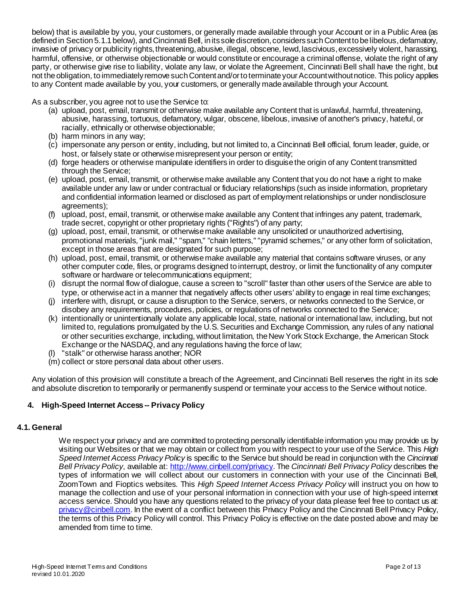below) that is available by you, your customers, or generally made available through your Account or in a Public Area (as defined in Sectio[n 5.1.1](#page-3-1) below), and Cincinnati Bell, in its sole discretion, considers such Content to be libelous, defamatory, invasive of privacy or publicity rights, threatening, abusive, illegal, obscene, lewd, lascivious, excessively violent, harassing, harmful, offensive, or otherwise objectionable or would constitute or encourage a criminal offense, violate the right of any party, or otherwise give rise to liability, violate any law, or violate the Agreement, Cincinnati Bell shall have the right, but not the obligation, to immediately remove such Content and/or to terminate your Account without notice. This policy applies to any Content made available by you, your customers, or generally made available through your Account.

As a subscriber, you agree not to use the Service to:

- (a) upload, post, email, transmit or otherwise make available any Content that is unlawful, harmful, threatening, abusive, harassing, tortuous, defamatory, vulgar, obscene, libelous, invasive of another's privacy, hateful, or racially, ethnically or otherwise objectionable;
- (b) harm minors in any way;
- (c) impersonate any person or entity, including, but not limited to, a Cincinnati Bell official, forum leader, guide, or host, or falsely state or otherwise misrepresent your person or entity;
- (d) forge headers or otherwise manipulate identifiers in order to disguise the origin of any Content transmitted through the Service;
- (e) upload, post, email, transmit, or otherwise make available any Content that you do not have a right to make available under any law or under contractual or fiduciary relationships (such as inside information, proprietary and confidential information learned or disclosed as part of employment relationships or under nondisclosure agreements);
- (f) upload, post, email, transmit, or otherwise make available any Content that infringes any patent, trademark, trade secret, copyright or other proprietary rights ("Rights") of any party;
- (g) upload, post, email, transmit, or otherwise make available any unsolicited or unauthorized advertising, promotional materials, "junk mail," "spam," "chain letters," "pyramid schemes," or any other form of solicitation, except in those areas that are designated for such purpose;
- (h) upload, post, email, transmit, or otherwise make available any material that contains software viruses, or any other computer code, files, or programs designed to interrupt, destroy, or limit the functionality of any computer software or hardware or telecommunications equipment;
- (i) disrupt the normal flow of dialogue, cause a screen to "scroll" faster than other users of the Service are able to type, or otherwise act in a manner that negatively affects other users' ability to engage in real time exchanges;
- (j) interfere with, disrupt, or cause a disruption to the Service, servers, or networks connected to the Service, or disobey any requirements, procedures, policies, or regulations of networks connected to the Service;
- (k) intentionally or unintentionally violate any applicable local, state, national or international law, including, but not limited to, regulations promulgated by the U.S. Securities and Exchange Commission, any rules of any national or other securities exchange, including, without limitation, the New York Stock Exchange, the American Stock Exchange or the NASDAQ, and any regulations having the force of law;
- "stalk" or otherwise harass another; NOR
- (m) collect or store personal data about other users.

Any violation of this provision will constitute a breach of the Agreement, and Cincinnati Bell reserves the right in its sole and absolute discretion to temporarily or permanently suspend or terminate your access to the Service without notice.

## **4. High-Speed Internet Access-- Privacy Policy**

### **4.1. General**

We respect your privacy and are committed to protecting personally identifiable information you may provide us by visiting our Websites or that we may obtain or collect from you with respect to your use of the Service. This *High Speed Internet Access Privacy Policy* is specific to the Service but should be read in conjunction with the *Cincinnati Bell Privacy Policy*, available at:<http://www.cinbell.com/privacy>. The *Cincinnati Bell Privacy Policy* describes the types of information we will collect about our customers in connection with your use of the Cincinnati Bell, ZoomTown and Fioptics websites. This *High Speed Internet Access Privacy Policy* will instruct you on how to manage the collection and use of your personal information in connection with your use of high-speed internet access service. Should you have any questions related to the privacy of your data please feel free to contact us at: privacy @cinbell.com. In the event of a conflict between this Privacy Policy and the Cincinnati Bell Privacy Policy, the terms of this Privacy Policy will control. This Privacy Policy is effective on the date posted above and may be amended from time to time.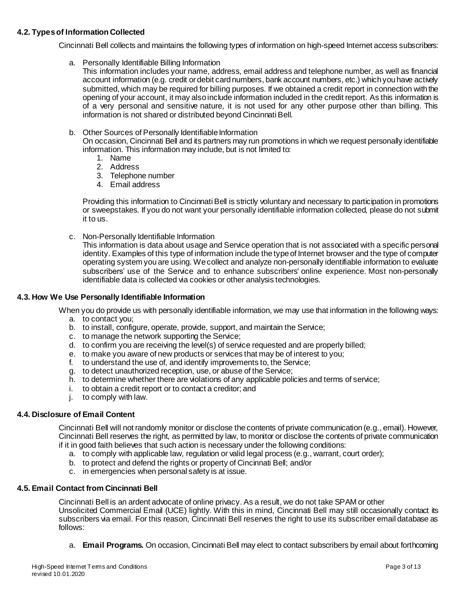## **4.2. Types of Information Collected**

Cincinnati Bell collects and maintains the following types of information on high-speed Internet access subscribers:

a. Personally Identifiable Billing Information

This information includes your name, address, email address and telephone number, as well as financial account information (e.g. credit or debit card numbers, bank account numbers, etc.) which you have actively submitted, which may be required for billing purposes. If we obtained a credit report in connection with the opening of your account, it may also include information included in the credit report. As this information is of a very personal and sensitive nature, it is not used for any other purpose other than billing. This information is not shared or distributed beyond Cincinnati Bell.

b. Other Sources of Personally Identifiable Information

On occasion, Cincinnati Bell and its partners may run promotions in which we request personally identifiable information. This information may include, but is not limited to:

- 1. Name
- 2. Address
- 3. Telephone number
- 4. Email address

Providing this information to Cincinnati Bell is strictly voluntary and necessary to participation in promotions or sweepstakes. If you do not want your personally identifiable information collected, please do not submit it to us.

c. Non-Personally Identifiable Information

This information is data about usage and Service operation that is not associated with a specific personal identity. Examples of this type of information include the type of Internet browser and the type of computer operating system you are using. We collect and analyze non-personally identifiable information to evaluate subscribers' use of the Service and to enhance subscribers' online experience. Most non-personally identifiable data is collected via cookies or other analysis technologies.

### **4.3. How We Use Personally Identifiable Information**

When you do provide us with personally identifiable information, we may use that information in the following ways:

- a. to contact you;
- b. to install, configure, operate, provide, support, and maintain the Service;
- c. to manage the network supporting the Service;
- d. to confirm you are receiving the level(s) of service requested and are properly billed;
- e. to make you aware of new products or services that may be of interest to you;
- f. to understand the use of, and identify improvements to, the Service;
- g. to detect unauthorized reception, use, or abuse of the Service;
- h. to determine whether there are violations of any applicable policies and terms of service;
- i. to obtain a credit report or to contact a creditor; and
- j. to comply with law.

### **4.4. Disclosure of Email Content**

Cincinnati Bell will not randomly monitor or disclose the contents of private communication (e.g., email). However, Cincinnati Bell reserves the right, as permitted by law, to monitor or disclose the contents of private communication if it in good faith believes that such action is necessary under the following conditions:

- a. to comply with applicable law, regulation or valid legal process (e.g., warrant, court order);
- b. to protect and defend the rights or property of Cincinnati Bell; and/or
- c. in emergencies when personal safety is at issue.

### **4.5. Email Contact from Cincinnati Bell**

Cincinnati Bell is an ardent advocate of online privacy. As a result, we do not take SPAM or other Unsolicited Commercial Email (UCE) lightly. With this in mind, Cincinnati Bell may still occasionally contact its subscribers via email. For this reason, Cincinnati Bell reserves the right to use its subscriber email database as follows:

a. **Email Programs.** On occasion, Cincinnati Bell may elect to contact subscribers by email about forthcoming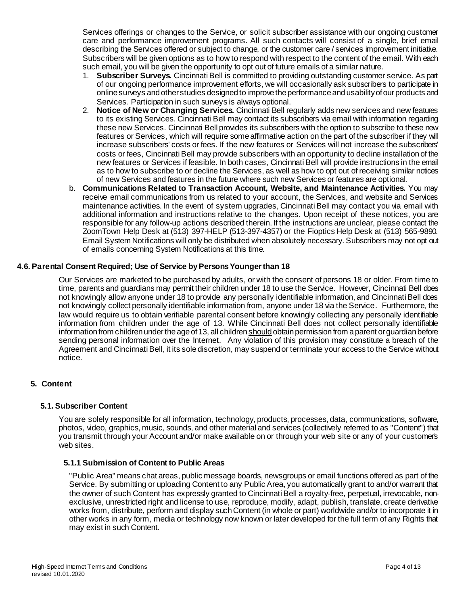Services offerings or changes to the Service, or solicit subscriber assistance with our ongoing customer care and performance improvement programs. All such contacts will consist of a single, brief email describing the Services offered or subject to change, or the customer care / services improvement initiative. Subscribers will be given options as to how to respond with respect to the content of the email. With each such email, you will be given the opportunity to opt out of future emails of a similar nature.

- 1. **Subscriber Surveys.** Cincinnati Bell is committed to providing outstanding customer service. As part of our ongoing performance improvement efforts, we will occasionally ask subscribers to participate in online surveys and other studies designed to improve the performance and usability of our products and Services. Participation in such surveys is always optional.
- 2. **Notice of New or Changing Services.** Cincinnati Bell regularly adds new services and new features to its existing Services. Cincinnati Bell may contact its subscribers via email with information regarding these new Services. Cincinnati Bell provides its subscribers with the option to subscribe to these new features or Services, which will require some affirmative action on the part of the subscriber if they will increase subscribers' costs or fees. If the new features or Services will not increase the subscribers' costs or fees, Cincinnati Bell may provide subscribers with an opportunity to decline installation of the new features or Services if feasible. In both cases, Cincinnati Bell will provide instructions in the email as to how to subscribe to or decline the Services, as well as how to opt out of receiving similar notices of new Services and features in the future where such new Services or features are optional.
- b. **Communications Related to Transaction Account, Website, and Maintenance Activities.** You may receive email communications from us related to your account, the Services, and website and Services maintenance activities. In the event of system upgrades, Cincinnati Bell may contact you via email with additional information and instructions relative to the changes. Upon receipt of these notices, you are responsible for any follow-up actions described therein. If the instructions are unclear, please contact the ZoomTown Help Desk at (513) 397-HELP (513-397-4357) or the Fioptics Help Desk at (513) 565-9890. Email System Notifications will only be distributed when absolutely necessary. Subscribers may not opt out of emails concerning System Notifications at this time.

### **4.6. Parental Consent Required; Use of Service by Persons Younger than 18**

Our Services are marketed to be purchased by adults, or with the consent of persons 18 or older. From time to time, parents and guardians may permit their children under 18 to use the Service. However, Cincinnati Bell does not knowingly allow anyone under 18 to provide any personally identifiable information, and Cincinnati Bell does not knowingly collect personally identifiable information from, anyone under 18 via the Service. Furthermore, the law would require us to obtain verifiable parental consent before knowingly collecting any personally identifiable information from children under the age of 13. While Cincinnati Bell does not collect personally identifiable information from children under the age of 13, all children should obtain permission from a parent or guardian before sending personal information over the Internet. Any violation of this provision may constitute a breach of the Agreement and Cincinnati Bell, it its sole discretion, may suspend or terminate your access to the Service without notice.

## <span id="page-3-0"></span>**5. Content**

### **5.1. Subscriber Content**

You are solely responsible for all information, technology, products, processes, data, communications, software, photos, video, graphics, music, sounds, and other material and services (collectively referred to as "Content") that you transmit through your Account and/or make available on or through your web site or any of your customer's web sites.

### <span id="page-3-1"></span>**5.1.1 Submission of Content to Public Areas**

"Public Area" means chat areas, public message boards, newsgroups or email functions offered as part of the Service. By submitting or uploading Content to any Public Area, you automatically grant to and/or warrant that the owner of such Content has expressly granted to Cincinnati Bell a royalty-free, perpetual, irrevocable, nonexclusive, unrestricted right and license to use, reproduce, modify, adapt, publish, translate, create derivative works from, distribute, perform and display such Content (in whole or part) worldwide and/or to incorporate it in other works in any form, media or technology now known or later developed for the full term of any Rights that may exist in such Content.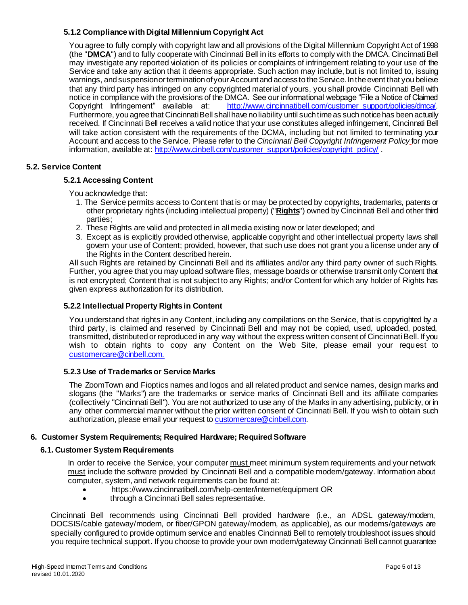## <span id="page-4-0"></span>**5.1.2 Compliancewith Digital Millennium Copyright Act**

You agree to fully comply with copyright law and all provisions of the Digital Millennium Copyright Act of 1998 (the "**DMCA**") and to fully cooperate with Cincinnati Bell in its efforts to comply with the DMCA. Cincinnati Bell may investigate any reported violation of its policies or complaints of infringement relating to your use of the Service and take any action that it deems appropriate. Such action may include, but is not limited to, issuing warnings, and suspension or termination of your Account and access to the Service. In the event that you believe that any third party has infringed on any copyrighted material of yours, you shall provide Cincinnati Bell with notice in compliance with the provisions of the DMCA. See our informational webpage "File a Notice of Claimed Copyright Infringement" available at: [http://www.cincinnatibell.com/customer\\_support/policies/dmca/.](http://www.cincinnatibell.com/customer_support/policies/dmca/) Furthermore, you agree that Cincinnati Bell shall have no liability until such time as such notice has been actually received. If Cincinnati Bell receives a valid notice that your use constitutes alleged infringement, Cincinnati Bell will take action consistent with the requirements of the DCMA, including but not limited to terminating your Account and access to the Service. Please refer to the *Cincinnati Bell Copyright Infringement Policy* for more information, available at[: http://www.cinbell.com/customer\\_support/policies/copyright\\_policy/](http://www.cinbell.com/customer_support/policies/copyright_policy/)

### **5.2. Service Content**

### **5.2.1 Accessing Content**

You acknowledge that:

- 1. The Service permits access to Content that is or may be protected by copyrights, trademarks, patents or other proprietary rights (including intellectual property) ("**Rights**") owned by Cincinnati Bell and other third parties;
- 2. These Rights are valid and protected in all media existing now or later developed; and
- 3. Except as is explicitly provided otherwise, applicable copyright and other intellectual property laws shall govern your use of Content; provided, however, that such use does not grant you a license under any of the Rights in the Content described herein.

All such Rights are retained by Cincinnati Bell and its affiliates and/or any third party owner of such Rights. Further, you agree that you may upload software files, message boards or otherwise transmit only Content that is not encrypted; Content that is not subject to any Rights; and/or Content for which any holder of Rights has given express authorization for its distribution.

### **5.2.2 Intellectual Property Rights in Content**

You understand that rights in any Content, including any compilations on the Service, that is copyrighted by a third party, is claimed and reserved by Cincinnati Bell and may not be copied, used, uploaded, posted, transmitted, distributed or reproduced in any way without the express written consent of Cincinnati Bell. If you wish to obtain rights to copy any Content on the Web Site, please email your request to [customercare@cinbell.com.](mailto:customercare@cinbell.com.)

### **5.2.3 Use of Trademarksor Service Marks**

The ZoomTown and Fioptics names and logos and all related product and service names, design marks and slogans (the "Marks") are the trademarks or service marks of Cincinnati Bell and its affiliate companies (collectively "Cincinnati Bell"). You are not authorized to use any of the Marks in any advertising, publicity, or in any other commercial manner without the prior written consent of Cincinnati Bell. If you wish to obtain such authorization, please email your requ[est to](mailto:customercare@cinbell.com) **[customercare@cinbell.com](mailto:customercare@cinbell.com)**.

## **6. Customer System Requirements; Required Hardware; Required Software**

### **6.1. Customer System Requirements**

In order to receive the Service, your computer must meet minimum system requirements and your network must include the software provided by Cincinnati Bell and a compatible modem/gateway. Information about computer, system, and network requirements can be found at:

- https://www.cincinnatibell.com/help-center/internet/equipment OR
- through a Cincinnati Bell sales representative.

Cincinnati Bell recommends using Cincinnati Bell provided hardware (i.e., an ADSL gateway/modem, DOCSIS/cable gateway/modem, or fiber/GPON gateway/modem, as applicable), as our modems/gateways are specially configured to provide optimum service and enables Cincinnati Bell to remotely troubleshoot issues should you require technical support. If you choose to provide your own modem/gateway Cincinnati Bell cannot guarantee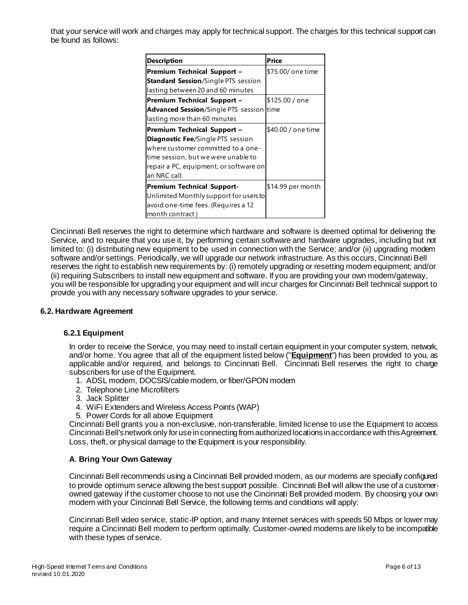that your service will work and charges may apply for technical support. The charges for this technical support can be found as follows:

| <b>Description</b>                                                                                                                                                                                             | Price              |
|----------------------------------------------------------------------------------------------------------------------------------------------------------------------------------------------------------------|--------------------|
| Premium Technical Support -<br><b>Standard Session/Single PTS session</b><br>lasting between 20 and 60 minutes                                                                                                 | \$75.00/ one time  |
| <b>Premium Technical Support -</b><br><b>Advanced Session/Single PTS session time</b><br>lasting more than 60 minutes                                                                                          | \$125.00 / one     |
| Premium Technical Support -<br><b>Diagnostic Fee/Single PTS session</b><br>where customer committed to a one-<br>time session, but we were unable to<br>repair a PC, equipment, or software on<br>an NRC call. | \$40.00 / one time |
| <b>Premium Technical Support-</b><br>Unlimited Monthly support for users to<br>avoid one-time fees. (Requires a 12<br>month contract)                                                                          | \$14.99 per month  |

Cincinnati Bell reserves the right to determine which hardware and software is deemed optimal for delivering the Service, and to require that you use it, by performing certain software and hardware upgrades, including but not limited to: (i) distributing new equipment to be used in connection with the Service; and/or (ii) upgrading modem software and/or settings. Periodically, we will upgrade our network infrastructure. As this occurs, Cincinnati Bell reserves the right to establish new requirements by: (i) remotely upgrading or resetting modem equipment; and/or (ii) requiring Subscribers to install new equipment and software. If you are providing your own modem/gateway, you will be responsible for upgrading your equipment and will incur charges for Cincinnati Bell technical support to provide you with any necessary software upgrades to your service.

### **6.2. Hardware Agreement**

### **6.2.1 Equipment**

In order to receive the Service, you may need to install certain equipment in your computer system, network, and/or home. You agree that all of the equipment listed below ("**Equipment**") has been provided to you, as applicable and/or required, and belongs to Cincinnati Bell. Cincinnati Bell reserves the right to charge subscribers for use of the Equipment.

- 1. ADSL modem, DOCSIS/cable modem, or fiber/GPON modem
- 2. Telephone Line Microfilters
- 3. Jack Splitter
- 4. WiFi Extenders and Wireless Access Points (WAP)
- 5. Power Cords for all above Equipment

Cincinnati Bell grants you a non-exclusive, non-transferable, limited license to use the Equipment to access Cincinnati Bell's network only for use in connecting from authorized locations in accordance with this Agreement. Loss, theft, or physical damage to the Equipment is your responsibility.

### **A**. **Bring Your Own Gateway**

Cincinnati Bell recommends using a Cincinnati Bell provided modem, as our modems are specially configured to provide optimum service allowing the best support possible. Cincinnati Bell will allow the use of a customerowned gateway if the customer choose to not use the Cincinnati Bell provided modem. By choosing your own modem with your Cincinnati Bell Service, the following terms and conditions will apply:

Cincinnati Bell video service, static-IP option, and many Internet services with speeds 50 Mbps or lower may require a Cincinnati Bell modem to perform optimally. Customer-owned modems are likely to be incompatible with these types of service.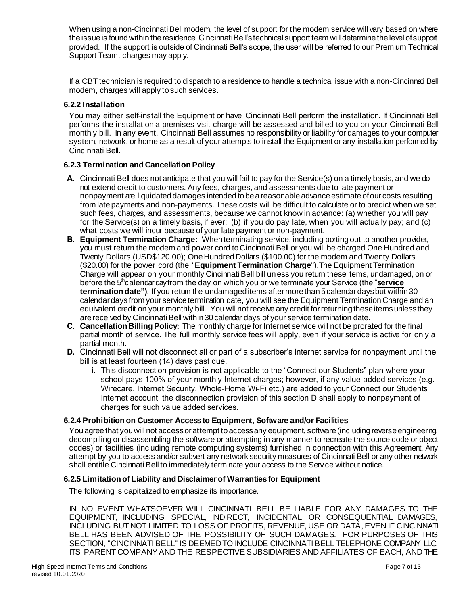When using a non-Cincinnati Bell modem, the level of support for the modem service will vary based on where the issue is found within the residence. Cincinnati Bell's technical support team will determine the level of support provided. If the support is outside of Cincinnati Bell's scope, the user will be referred to our Premium Technical Support Team, charges may apply.

If a CBT technician is required to dispatch to a residence to handle a technical issue with a non-Cincinnati Bell modem, charges will apply to such services.

### **6.2.2 Installation**

You may either self-install the Equipment or have Cincinnati Bell perform the installation. If Cincinnati Bell performs the installation a premises visit charge will be assessed and billed to you on your Cincinnati Bell monthly bill. In any event, Cincinnati Bell assumes no responsibility or liability for damages to your computer system, network, or home as a result of your attempts to install the Equipment or any installation performed by Cincinnati Bell.

## **6.2.3 Termination and Cancellation Policy**

- **A.** Cincinnati Bell does not anticipate that you will fail to pay for the Service(s) on a timely basis, and we do not extend credit to customers. Any fees, charges, and assessments due to late payment or nonpayment are liquidated damages intended to be a reasonable advance estimate of our costs resulting from late payments and non-payments. These costs will be difficult to calculate or to predict when we set such fees, charges, and assessments, because we cannot know in advance: (a) whether you will pay for the Service(s) on a timely basis, if ever; (b) if you do pay late, when you will actually pay; and (c) what costs we will incur because of your late payment or non-payment.
- **B. Equipment Termination Charge:** When terminating service, including porting out to another provider, you must return the modem and power cord to Cincinnati Bell or you will be charged One Hundred and Twenty Dollars (USD\$120.00); One Hundred Dollars (\$100.00) for the modem and Twenty Dollars (\$20.00) for the power cord (the "**Equipment Termination Charge**").The Equipment Termination Charge will appear on your monthly Cincinnati Bell bill unless you return these items, undamaged, on or before the 5<sup>th</sup>calendar dayfrom the day on which you or we terminate your Service (the "service **termination date")**. If you return the undamaged items after more than 5 calendar days but within 30 calendar days from your service termination date, you will see the Equipment Termination Charge and an equivalent credit on your monthly bill. You will not receive any credit for returning these items unless they are receivedby Cincinnati Bell within 30 calendar days of your service termination date.
- **C. Cancellation Billing Policy:** The monthly charge for Internet service will not be prorated for the final partial month of service. The full monthly service fees will apply, even if your service is active for only a partial month.
- **D.** Cincinnati Bell will not disconnect all or part of a subscriber's internet service for nonpayment until the bill is at least fourteen (14) days past due.
	- **i.** This disconnection provision is not applicable to the "Connect our Students" plan where your school pays 100% of your monthly Internet charges; however, if any value-added services (e.g. Wirecare, Internet Security, Whole-Home Wi-Fi etc.) are added to your Connect our Students Internet account, the disconnection provision of this section D shall apply to nonpayment of charges for such value added services.

### **6.2.4 Prohibition on Customer Access to Equipment, Software and/or Facilities**

You agree that you will not access or attempt to access any equipment, software (including reverse engineering, decompiling or disassembling the software or attempting in any manner to recreate the source code or object codes) or facilities (including remote computing systems) furnished in connection with this Agreement. Any attempt by you to access and/or subvert any network security measures of Cincinnati Bell or any other network shall entitle Cincinnati Bell to immediately terminate your access to the Service without notice.

### <span id="page-6-0"></span>**6.2.5 Limitation of Liability and Disclaimer of Warranties for Equipment**

The following is capitalized to emphasize its importance.

IN NO EVENT WHATSOEVER WILL CINCINNATI BELL BE LIABLE FOR ANY DAMAGES TO THE EQUIPMENT, INCLUDING SPECIAL, INDIRECT, INCIDENTAL OR CONSEQUENTIAL DAMAGES, INCLUDING BUT NOT LIMITED TO LOSS OF PROFITS, REVENUE, USE OR DATA, EVEN IF CINCINNATI BELL HAS BEEN ADVISED OF THE POSSIBILITY OF SUCH DAMAGES. FOR PURPOSES OF THIS SECTION, "CINCINNATI BELL" IS DEEMED TO INCLUDE CINCINNATI BELL TELEPHONE COMPANY LLC, ITS PARENT COMPANY AND THE RESPECTIVE SUBSIDIARIES AND AFFILIATES OF EACH, AND THE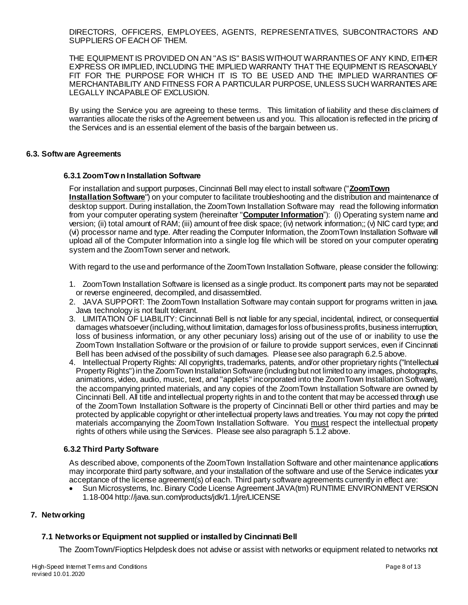DIRECTORS, OFFICERS, EMPLOYEES, AGENTS, REPRESENTATIVES, SUBCONTRACTORS AND SUPPLIERS OF EACH OF THEM.

THE EQUIPMENT IS PROVIDED ON AN "AS IS" BASIS WITHOUT WARRANTIES OF ANY KIND, EITHER EXPRESS OR IMPLIED, INCLUDING THE IMPLIED WARRANTY THAT THE EQUIPMENT IS REASONABLY FIT FOR THE PURPOSE FOR WHICH IT IS TO BE USED AND THE IMPLIED WARRANTIES OF MERCHANTABILITY AND FITNESS FOR A PARTICULAR PURPOSE, UNLESS SUCH WARRANTIES ARE LEGALLY INCAPABLE OF EXCLUSION.

By using the Service you are agreeing to these terms. This limitation of liability and these dis claimers of warranties allocate the risks of the Agreement between us and you. This allocation is reflected in the pricing of the Services and is an essential element of the basis of the bargain between us.

### **6.3. Software Agreements**

### **6.3.1 ZoomTown Installation Software**

For installation and support purposes, Cincinnati Bell may elect to install software ("**ZoomTown Installation Software**") on your computer to facilitate troubleshooting and the distribution and maintenance of desktop support. During installation, the ZoomTown Installation Software may read the following information from your computer operating system (hereinafter "**Computer Information**"): (i) Operating system name and version; (ii) total amount of RAM; (iii) amount of free disk space; (iv) network information;; (v) NIC card type; and (vi) processor name and type. After reading the Computer Information, the ZoomTown Installation Software will upload all of the Computer Information into a single log file which will be stored on your computer operating system and the ZoomTown server and network.

With regard to the use and performance of the ZoomTown Installation Software, please consider the following:

- 1. ZoomTown Installation Software is licensed as a single product. Its component parts may not be separated or reverse engineered, decompiled, and disassembled.
- 2. JAVA SUPPORT: The ZoomTown Installation Software may contain support for programs written in java. Java technology is not fault tolerant.
- 3. LIMITATION OF LIABILITY: Cincinnati Bell is not liable for any special, incidental, indirect, or consequential damages whatsoever (including, without limitation, damages for loss ofbusiness profits, business interruption, loss of business information, or any other pecuniary loss) arising out of the use of or inability to use the ZoomTown Installation Software or the provision of or failure to provide support services, even if Cincinnati Bell has been advised of the possibility of such damages. Please see also paragrap[h 6.2.5 above](#page-6-0).
- 4. Intellectual Property Rights: All copyrights, trademarks, patents, and/or other proprietary rights ("Intellectual Property Rights") in the ZoomTown Installation Software (including but not limited to any images, photographs, animations, video, audio, music, text, and "applets" incorporated into the ZoomTown Installation Software), the accompanying printed materials, and any copies of the ZoomTown Installation Software are owned by Cincinnati Bell. All title and intellectual property rights in and to the content that may be accessed through use of the ZoomTown Installation Software is the property of Cincinnati Bell or other third parties and may be protected by applicable copyright or otherintellectual property laws and treaties. You may not copy the printed materials accompanying the ZoomTown Installation Software. You must respect the intellectual property rights of others while using the Services. Please see also paragrap[h 5.1.2 above.](#page-4-0)

### **6.3.2 Third Party Software**

As described above, components of the ZoomTown Installation Software and other maintenance applications may incorporate third party software, and your installation of the software and use of the Service indicates your acceptance of the license agreement(s) of each. Third party software agreements currently in effect are:

 Sun Microsystems, Inc. Binary Code License Agreement JAVA(tm) RUNTIME ENVIRONMENT VERSION 1.18-00[4 http://java.sun.com/products/jdk/1.1/jre/LICENSE](http://java.sun.com/products/jdk/1.1/jre/LICENSE)

### **7. Networking**

### **7.1 Networks or Equipment not supplied or installed by Cincinnati Bell**

The ZoomTown/Fioptics Helpdesk does not advise or assist with networks or equipment related to networks not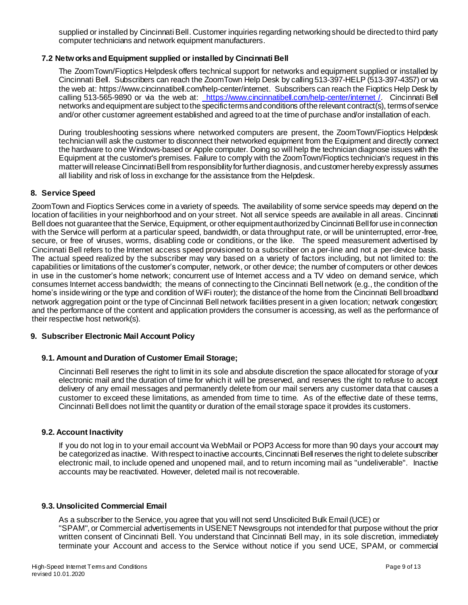supplied or installed by Cincinnati Bell. Customer inquiries regarding networking should be directed to third party computer technicians and network equipment manufacturers.

## **7.2 Networksand Equipment supplied or installed by Cincinnati Bell**

The ZoomTown/Fioptics Helpdesk offers technical support for networks and equipment supplied or installed by Cincinnati Bell. Subscribers can reach the ZoomTown Help Desk by calling 513-397-HELP (513-397-4357) or via the web at: https://www.cincinnatibell.com/help-center/internet. Subscribers can reach the Fioptics Help Desk by calling 513-565-9890 or via the web at: [https://www.cincinnatibell.com/help-center/internet /](https://www.cincinnatibell.com/help-center/internet%20/). Cincinnati Bell networks and equipment are subject to the specific terms and conditions of the relevant contract(s), terms of service and/or other customer agreement established and agreed to at the time of purchase and/or installation of each.

During troubleshooting sessions where networked computers are present, the ZoomTown/Fioptics Helpdesk technician will ask the customer to disconnect their networked equipment from the Equipment and directly connect the hardware to one Windows-based or Apple computer. Doing so will help the technician diagnose issues with the Equipment at the customer's premises. Failure to comply with the ZoomTown/Fioptics technician's request in this matter will release Cincinnati Bell from responsibility for further diagnosis, and customer hereby expressly assumes all liability and risk of loss in exchange for the assistance from the Helpdesk.

### **8. Service Speed**

ZoomTown and Fioptics Services come in a variety of speeds. The availability of some service speeds may depend on the location of facilities in your neighborhood and on your street. Not all service speeds are available in all areas. Cincinnati Bell does not guarantee that the Service, Equipment, or other equipment authorized by Cincinnati Bell for use in connection with the Service will perform at a particular speed, bandwidth, or data throughput rate, or will be uninterrupted, error-free, secure, or free of viruses, worms, disabling code or conditions, or the like. The speed measurement advertised by Cincinnati Bell refers to the Internet access speed provisioned to a subscriber on a per-line and not a per-device basis. The actual speed realized by the subscriber may vary based on a variety of factors including, but not limited to: the capabilities or limitations of the customer's computer, network, or other device; the number of computers or other devices in use in the customer's home network; concurrent use of Internet access and a TV video on demand service, which consumes Internet access bandwidth; the means of connecting to the Cincinnati Bell network (e.g., the condition of the home's inside wiring or the type and condition of WiFi router); the distance of the home from the Cincinnati Bell broadband network aggregation point or the type of Cincinnati Bell network facilities present in a given location; network congestion; and the performance of the content and application providers the consumer is accessing, as well as the performance of their respective host network(s).

### **9. Subscriber Electronic Mail Account Policy**

### **9.1. Amount and Duration of Customer Email Storage;**

Cincinnati Bell reserves the right to limit in its sole and absolute discretion the space allocated for storage of your electronic mail and the duration of time for which it will be preserved, and reserves the right to refuse to accept delivery of any email messages and permanently delete from our mail servers any customer data that causes a customer to exceed these limitations, as amended from time to time. As of the effective date of these terms, Cincinnati Bell does not limit the quantity or duration of the email storage space it provides its customers.

### **9.2. Account Inactivity**

If you do not log in to your email account via WebMail or POP3 Access for more than 90 days your account may be categorized as inactive. With respect to inactive accounts, Cincinnati Bell reserves the right to delete subscriber electronic mail, to include opened and unopened mail, and to return incoming mail as "undeliverable". Inactive accounts may be reactivated. However, deleted mail is not recoverable.

#### **9.3. Unsolicited Commercial Email**

As a subscriber to the Service, you agree that you will not send Unsolicited Bulk Email (UCE) or "SPAM", or Commercial advertisements in USENET Newsgroups not intended for that purpose without the prior written consent of Cincinnati Bell. You understand that Cincinnati Bell may, in its sole discretion, immediately terminate your Account and access to the Service without notice if you send UCE, SPAM, or commercial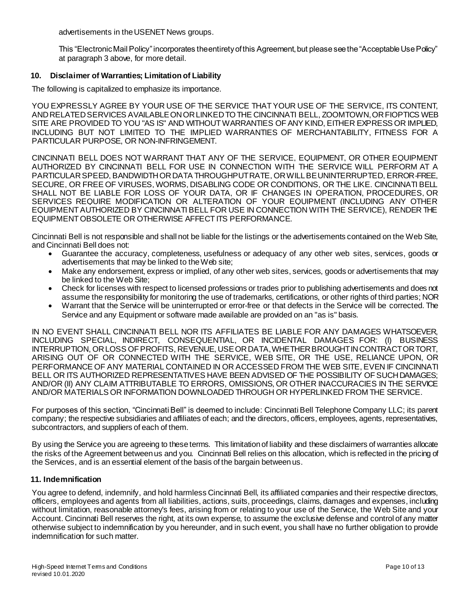advertisements in the USENET News groups.

This "Electronic Mail Policy" incorporates the entirety of this Agreement, but please see the "Acceptable Use Policy" at paragraph [3 above,](#page-0-0) for more detail.

## **10. Disclaimer of Warranties; Limitation of Liability**

The following is capitalized to emphasize its importance.

YOU EXPRESSLY AGREE BY YOUR USE OF THE SERVICE THAT YOUR USE OF THE SERVICE, ITS CONTENT, AND RELATED SERVICES AVAILABLEONORLINKEDTO THE CINCINNATI BELL, ZOOMTOWN, OR FIOPTICS WEB SITE ARE PROVIDED TO YOU "AS IS" AND WITHOUT WARRANTIES OF ANY KIND, EITHER EXPRESS OR IMPLIED, INCLUDING BUT NOT LIMITED TO THE IMPLIED WARRANTIES OF MERCHANTABILITY, FITNESS FOR A PARTICULAR PURPOSE, OR NON-INFRINGEMENT.

CINCINNATI BELL DOES NOT WARRANT THAT ANY OF THE SERVICE, EQUIPMENT, OR OTHER EQUIPMENT AUTHORIZED BY CINCINNATI BELL FOR USE IN CONNECTION WITH THE SERVICE WILL PERFORM AT A PARTICULAR SPEED, BANDWIDTH OR DATA THROUGHPUT RATE, OR WILL BE UNINTERRUPTED, ERROR-FREE, SECURE, OR FREE OF VIRUSES, WORMS, DISABLING CODE OR CONDITIONS, OR THE LIKE. CINCINNATI BELL SHALL NOT BE LIABLE FOR LOSS OF YOUR DATA, OR IF CHANGES IN OPERATION, PROCEDURES, OR SERVICES REQUIRE MODIFICATION OR ALTERATION OF YOUR EQUIPMENT (INCLUDING ANY OTHER EQUIPMENT AUTHORIZED BY CINCINNATI BELL FOR USE IN CONNECTION WITH THE SERVICE), RENDER THE EQUIPMENT OBSOLETE OR OTHERWISE AFFECT ITS PERFORMANCE.

Cincinnati Bell is not responsible and shall not be liable for the listings or the advertisements contained on the Web Site, and Cincinnati Bell does not:

- Guarantee the accuracy, completeness, usefulness or adequacy of any other web sites, services, goods or advertisements that may be linked to the Web site;
- Make any endorsement, express or implied, of any other web sites, services, goods or advertisements that may be linked to the Web Site;
- Check for licenses with respect to licensed professions or trades prior to publishing advertisements and does not assume the responsibility for monitoring the use of trademarks, certifications, or other rights of third parties; NOR
- Warrant that the Service will be uninterrupted or error-free or that defects in the Service will be corrected. The Service and any Equipment or software made available are provided on an "as is" basis.

IN NO EVENT SHALL CINCINNATI BELL NOR ITS AFFILIATES BE LIABLE FOR ANY DAMAGES WHATSOEVER, INCLUDING SPECIAL, INDIRECT, CONSEQUENTIAL, OR INCIDENTAL DAMAGES FOR: (I) BUSINESS INTERRUPTION, OR LOSS OFPROFITS, REVENUE, USEORDATA,WHETHERBROUGHT INCONTRACTOR TORT, ARISING OUT OF OR CONNECTED WITH THE SERVICE, WEB SITE, OR THE USE, RELIANCE UPON, OR PERFORMANCE OF ANY MATERIAL CONTAINED IN OR ACCESSED FROM THE WEB SITE, EVEN IF CINCINNATI BELL OR ITS AUTHORIZED REPRESENTATIVES HAVE BEEN ADVISED OF THE POSSIBILITY OF SUCH DAMAGES; AND/OR (II) ANY CLAIM ATTRIBUTABLE TO ERRORS, OMISSIONS, OR OTHER INACCURACIES IN THE SERVICE AND/OR MATERIALS OR INFORMATION DOWNLOADED THROUGH OR HYPERLINKED FROM THE SERVICE.

For purposes of this section, "Cincinnati Bell" is deemed to include: Cincinnati Bell Telephone Company LLC; its parent company; the respective subsidiaries and affiliates of each; and the directors, officers, employees, agents, representatives, subcontractors, and suppliers of each of them.

By using the Service you are agreeing to these terms. This limitation of liability and these disclaimers of warranties allocate the risks of the Agreement between us and you. Cincinnati Bell relies on this allocation, which is reflected in the pricing of the Services, and is an essential element of the basis of the bargain between us.

### **11. Indemnification**

You agree to defend, indemnify, and hold harmless Cincinnati Bell, its affiliated companies and their respective directors, officers, employees and agents from all liabilities, actions, suits, proceedings, claims, damages and expenses, including without limitation, reasonable attorney's fees, arising from or relating to your use of the Service, the Web Site and your Account. Cincinnati Bell reserves the right, at its own expense, to assume the exclusive defense and control of any matter otherwise subject to indemnification by you hereunder, and in such event, you shall have no further obligation to provide indemnification for such matter.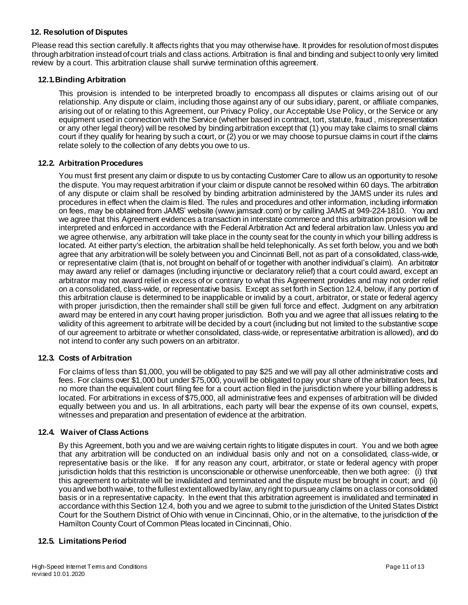## **12. Resolution of Disputes**

Please read this section carefully. It affects rights that you may otherwise have. It provides for resolution of most disputes through arbitration instead ofcourt trials and class actions. Arbitration is final and binding and subject toonly very limited review by a court. This arbitration clause shall survive termination ofthis agreement.

### **12.1.Binding Arbitration**

This provision is intended to be interpreted broadly to encompass all disputes or claims arising out of our relationship. Any dispute or claim, including those against any of our subsidiary, parent, or affiliate companies, arising out of or relating to this Agreement, our Privacy Policy, our Acceptable Use Policy, or the Service or any equipment used in connection with the Service (whether based in contract, tort, statute, fraud , misrepresentation or any other legal theory) will be resolved by binding arbitration except that (1) you may take claims to small claims court if they qualify for hearing by such a court, or (2) you or we may choose to pursue claims in court if the claims relate solely to the collection of any debts you owe to us.

### **12.2. Arbitration Procedures**

You must first present any claim or dispute to us by contacting Customer Care to allow us an opportunity to resolve the dispute. You may request arbitration if your claim or dispute cannot be resolved within 60 days. The arbitration of any dispute or claim shall be resolved by binding arbitration administered by the JAMS under its rules and procedures in effect when the claim is filed. The rules and procedures and other information, including information on fees, may be obtained from JAMS' website [\(www.jamsadr.com](http://www.jamsadr.com/)) or by calling JAMS at 949-224-1810. You and we agree that this Agreement evidences a transaction in interstate commerce and this arbitration provision will be interpreted and enforced in accordance with the Federal Arbitration Act and federal arbitration law. Unless you and we agree otherwise, any arbitration will take place in the county seat for the county in which your billing address is located. At either party's election, the arbitration shall be held telephonically. As set forth below, you and we both agree that any arbitration will be solely between you and Cincinnati Bell, not as part of a consolidated, class-wide, or representative claim (that is, not brought on behalf of or together with another individual's claim). An arbitrator may award any relief or damages (including injunctive or declaratory relief) that a court could award, except an arbitrator may not award relief in excess of or contrary to what this Agreement provides and may not order relief on a consolidated, class-wide, or representative basis. Except as set forth in Section 12.4, below, if any portion of this arbitration clause is determined to be inapplicable or invalid by a court, arbitrator, or state or federal agency with proper jurisdiction, then the remainder shall still be given full force and effect. Judgment on any arbitration award may be entered in any court having proper jurisdiction. Both you and we agree that all issues relating to the validity of this agreement to arbitrate will be decided by a court (including but not limited to the substantive scope of our agreement to arbitrate or whether consolidated, class-wide, or representative arbitration is allowed), and do not intend to confer any such powers on an arbitrator.

### **12.3. Costs of Arbitration**

For claims of less than \$1,000, you will be obligated to pay \$25 and we will pay all other administrative costs and fees. For claims over \$1,000 but under \$75,000, you will be obligated to pay your share of the arbitration fees, but no more than the equivalent court filing fee for a court action filed in the jurisdiction where your billing address is located. For arbitrations in excess of \$75,000, all administrative fees and expenses of arbitration will be divided equally between you and us. In all arbitrations, each party will bear the expense of its own counsel, experts, witnesses and preparation and presentation of evidence at the arbitration.

### **12.4. Waiver of Class Actions**

By this Agreement, both you and we are waiving certain rights to litigate disputes in court. You and we both agree that any arbitration will be conducted on an individual basis only and not on a consolidated, class-wide, or representative basis or the like. If for any reason any court, arbitrator, or state or federal agency with proper jurisdiction holds that this restriction is unconscionable or otherwise unenforceable, then we both agree: (i) that this agreement to arbitrate will be invalidated and terminated and the dispute must be brought in court; and (ii) you and we both waive, to the fullest extent allowed by law, any right to pursue any claims on a class or consolidated basis or in a representative capacity. In the event that this arbitration agreement is invalidated and terminated in accordance with this Section 12.4, both you and we agree to submit to the jurisdiction of the United States District Court for the Southern District of Ohio with venue in Cincinnati, Ohio, or in the alternative, to the jurisdiction of the Hamilton County Court of Common Pleas located in Cincinnati, Ohio.

## **12.5. Limitations Period**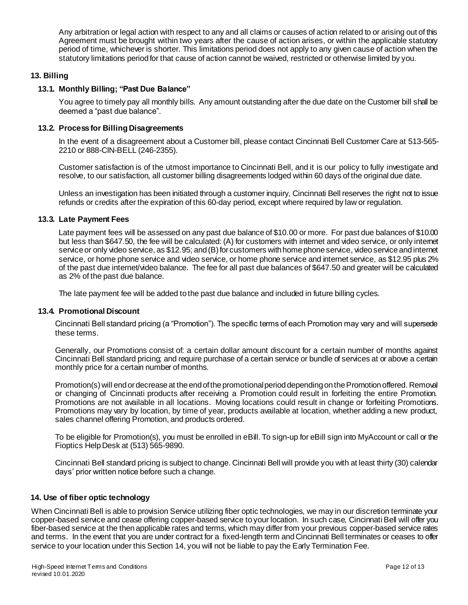Any arbitration or legal action with respect to any and all claims or causes of action related to or arising out of this Agreement must be brought within two years after the cause of action arises, or within the applicable statutory period of time, whichever is shorter. This limitations period does not apply to any given cause of action when the statutory limitations period for that cause of action cannot be waived, restricted or otherwise limited by you.

### **13. Billing**

### **13.1. Monthly Billing; "Past Due Balance"**

You agree to timely pay all monthly bills. Any amount outstanding after the due date on the Customer bill shall be deemed a "past due balance".

### **13.2. Process for Billing Disagreements**

In the event of a disagreement about a Customer bill, please contact Cincinnati Bell Customer Care at 513-565- 2210 or 888-CIN-BELL (246-2355).

Customer satisfaction is of the utmost importance to Cincinnati Bell, and it is our policy to fully investigate and resolve, to our satisfaction, all customer billing disagreements lodged within 60 days of the original due date.

Unless an investigation has been initiated through a customer inquiry, Cincinnati Bell reserves the right not to issue refunds or credits after the expiration of this 60-day period, except where required by law or regulation.

### **13.3. Late Payment Fees**

Late payment fees will be assessed on any past due balance of \$10.00 or more. For past due balances of \$10.00 but less than \$647.50, the fee will be calculated: (A) for customers with internet and video service, or only internet service or only video service, as \$12.95; and (B) for customers with home phone service, video service andinternet service, or home phone service and video service, or home phone service and internet service, as \$12.95 plus 2% of the past due internet/video balance. The fee for all past due balances of \$647.50 and greater will be calculated as 2% of the past due balance.

The late payment fee will be added to the past due balance and included in future billing cycles.

### **13.4. Promotional Discount**

Cincinnati Bell standard pricing (a "Promotion"). The specific terms of each Promotion may vary and will supersede these terms.

Generally, our Promotions consist of: a certain dollar amount discount for a certain number of months against Cincinnati Bell standard pricing; and require purchase of a certain service or bundle of services at or above a certain monthly price for a certain number of months.

Promotion(s) will end or decrease at the end of the promotional period depending on the Promotion offered. Removal or changing of Cincinnati products after receiving a Promotion could result in forfeiting the entire Promotion. Promotions are not available in all locations. Moving locations could result in change or forfeiting Promotions. Promotions may vary by location, by time of year, products available at location, whether adding a new product, sales channel offering Promotion, and products ordered.

To be eligible for Promotion(s), you must be enrolled in eBill. To sign-up for eBill sign into MyAccount or call or the Fioptics Help Desk at (513) 565-9890.

Cincinnati Bell standard pricing is subject to change. Cincinnati Bell will provide you with at least thirty (30) calendar days' prior written notice before such a change.

### <span id="page-11-0"></span>**14. Use of fiber optic technology**

When Cincinnati Bell is able to provision Service utilizing fiber optic technologies, we may in our discretion terminate your copper-based service and cease offering copper-based service to your location. In such case, Cincinnati Bell will offer you fiber-based service at the then applicable rates and terms, which may differ from your previous copper-based service rates and terms. In the event that you are under contract for a fixed-length term and Cincinnati Bell terminates or ceases to offer service to your location under this Section 14, you will not be liable to pay the Early Termination Fee.